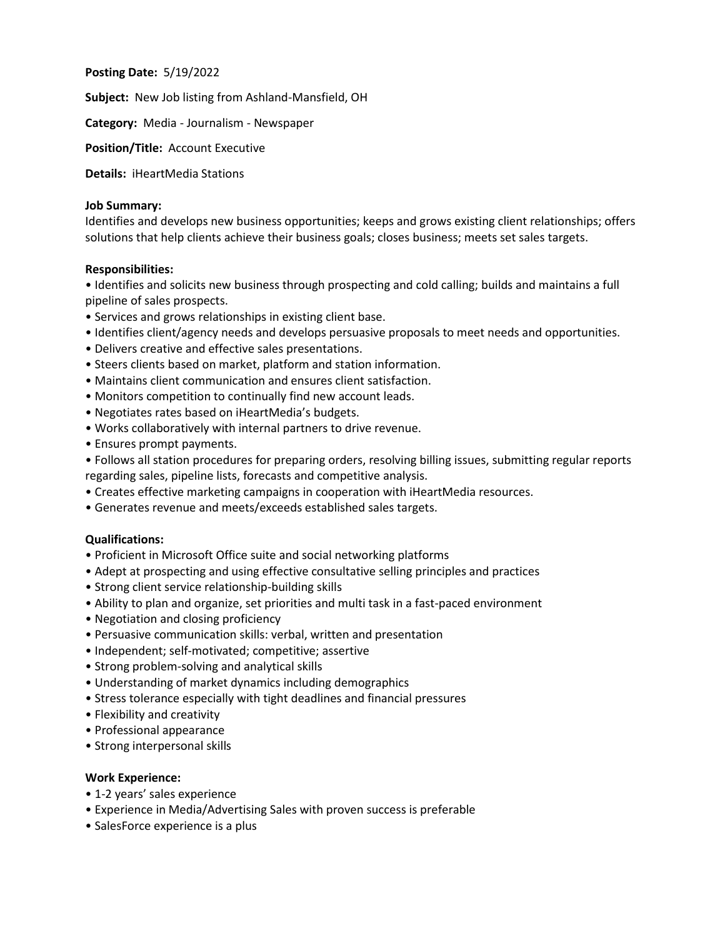**Posting Date:** 5/19/2022

**Subject:** New Job listing from Ashland-Mansfield, OH

**Category:** Media - Journalism - Newspaper

**Position/Title:** Account Executive

**Details:** iHeartMedia Stations

### **Job Summary:**

Identifies and develops new business opportunities; keeps and grows existing client relationships; offers solutions that help clients achieve their business goals; closes business; meets set sales targets.

#### **Responsibilities:**

• Identifies and solicits new business through prospecting and cold calling; builds and maintains a full pipeline of sales prospects.

- Services and grows relationships in existing client base.
- Identifies client/agency needs and develops persuasive proposals to meet needs and opportunities.
- Delivers creative and effective sales presentations.
- Steers clients based on market, platform and station information.
- Maintains client communication and ensures client satisfaction.
- Monitors competition to continually find new account leads.
- Negotiates rates based on iHeartMedia's budgets.
- Works collaboratively with internal partners to drive revenue.
- Ensures prompt payments.
- Follows all station procedures for preparing orders, resolving billing issues, submitting regular reports regarding sales, pipeline lists, forecasts and competitive analysis.
- Creates effective marketing campaigns in cooperation with iHeartMedia resources.
- Generates revenue and meets/exceeds established sales targets.

#### **Qualifications:**

- Proficient in Microsoft Office suite and social networking platforms
- Adept at prospecting and using effective consultative selling principles and practices
- Strong client service relationship-building skills
- Ability to plan and organize, set priorities and multi task in a fast-paced environment
- Negotiation and closing proficiency
- Persuasive communication skills: verbal, written and presentation
- Independent; self-motivated; competitive; assertive
- Strong problem-solving and analytical skills
- Understanding of market dynamics including demographics
- Stress tolerance especially with tight deadlines and financial pressures
- Flexibility and creativity
- Professional appearance
- Strong interpersonal skills

#### **Work Experience:**

- 1-2 years' sales experience
- Experience in Media/Advertising Sales with proven success is preferable
- SalesForce experience is a plus